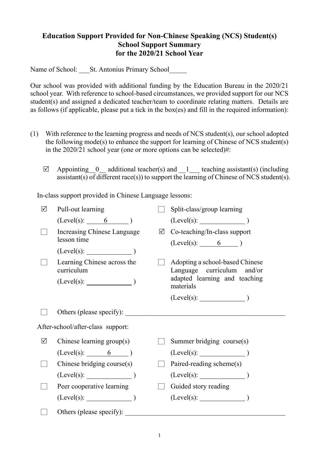## **Education Support Provided for Non-Chinese Speaking (NCS) Student(s) School Support Summary for the 2020/21 School Year**

Name of School: St. Antonius Primary School

Our school was provided with additional funding by the Education Bureau in the 2020/21 school year. With reference to school-based circumstances, we provided support for our NCS student(s) and assigned a dedicated teacher/team to coordinate relating matters. Details are as follows (if applicable, please put a tick in the box(es) and fill in the required information):

- (1) With reference to the learning progress and needs of NCS student(s), our school adopted the following mode(s) to enhance the support for learning of Chinese of NCS student(s) in the 2020/21 school year (one or more options can be selected)#:
	- $\boxtimes$  Appointing 0 additional teacher(s) and 1 teaching assistant(s) (including assistant(s) of different race(s)) to support the learning of Chinese of NCS student(s).

In-class support provided in Chinese Language lessons:

| ☑                                 | Pull-out learning                          |  | Split-class/group learning                                     |  |
|-----------------------------------|--------------------------------------------|--|----------------------------------------------------------------|--|
|                                   | $(Level(s):$ 6 $)$                         |  | $(Level(s):$ $)$                                               |  |
|                                   | Increasing Chinese Language<br>lesson time |  | $\boxtimes$ Co-teaching/In-class support<br>$(Level(s):$ 6 $)$ |  |
|                                   | $(Level(s):$ $)$                           |  |                                                                |  |
|                                   | Learning Chinese across the<br>curriculum  |  | Adopting a school-based Chinese<br>Language curriculum and/or  |  |
|                                   | $(Level(s):$ $)$                           |  | adapted learning and teaching<br>materials                     |  |
|                                   |                                            |  |                                                                |  |
|                                   | Others (please specify):                   |  |                                                                |  |
| After-school/after-class support: |                                            |  |                                                                |  |
| ☑                                 | Chinese learning group(s)                  |  | Summer bridging course(s)                                      |  |
|                                   | $(Level(s):$ 6 0                           |  | (Level(s):                                                     |  |
|                                   | Chinese bridging course(s)                 |  | Paired-reading scheme(s)                                       |  |
|                                   | $(Level(s):$ (Level(s):                    |  | $(Level(s):$ $)$                                               |  |
|                                   | Peer cooperative learning                  |  | Guided story reading                                           |  |
|                                   | $(Level(s):$ (Level(s):                    |  |                                                                |  |
|                                   | Others (please specify):                   |  |                                                                |  |